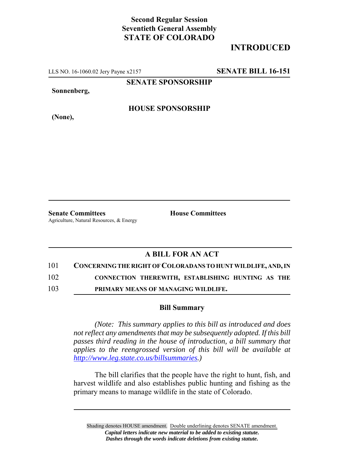## **Second Regular Session Seventieth General Assembly STATE OF COLORADO**

# **INTRODUCED**

LLS NO. 16-1060.02 Jery Payne x2157 **SENATE BILL 16-151**

**SENATE SPONSORSHIP**

**Sonnenberg,**

#### **HOUSE SPONSORSHIP**

**Senate Committees House Committees** Agriculture, Natural Resources, & Energy

### **A BILL FOR AN ACT**

#### 101 **CONCERNING THE RIGHT OF COLORADANS TO HUNT WILDLIFE, AND, IN**

102 **CONNECTION THEREWITH, ESTABLISHING HUNTING AS THE**

103 **PRIMARY MEANS OF MANAGING WILDLIFE.**

#### **Bill Summary**

*(Note: This summary applies to this bill as introduced and does not reflect any amendments that may be subsequently adopted. If this bill passes third reading in the house of introduction, a bill summary that applies to the reengrossed version of this bill will be available at http://www.leg.state.co.us/billsummaries.)*

The bill clarifies that the people have the right to hunt, fish, and harvest wildlife and also establishes public hunting and fishing as the primary means to manage wildlife in the state of Colorado.

Shading denotes HOUSE amendment. Double underlining denotes SENATE amendment. *Capital letters indicate new material to be added to existing statute. Dashes through the words indicate deletions from existing statute.*

**(None),**